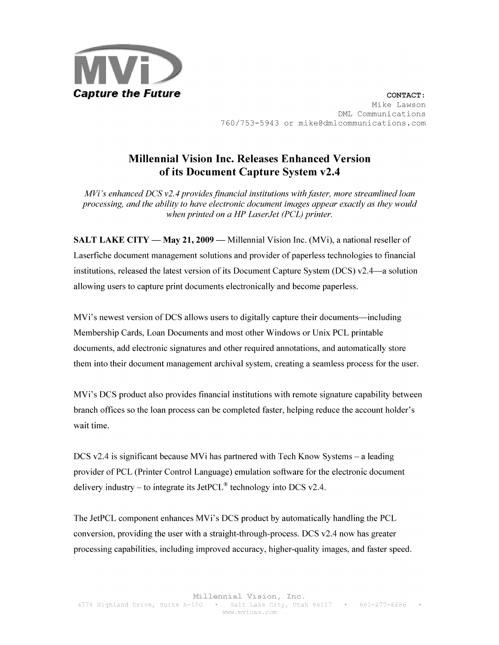

CONTACT: Mike Lawson DML Communications 760/753-5943 or mike@dmlcommunications.com

## **Millennial Vision Inc. Releases Enhanced Version** of its Document Capture System v2.4

 $MVi$ 's enhanced DCS v2.4 provides financial institutions with faster, more streamlined loan processing, and the ability to have electronic document images appear exactly as they would when printed on a HP LaserJet (PCL) printer.

**SALT LAKE CITY — May 21, 2009 — Millennial Vision Inc. (MVi), a national reseller of** Laserfiche document management solutions and provider of paperless technologies to financial institutions, released the latest version of its Document Capture System (DCS)  $v2.4$ —a solution allowing users to capture print documents electronically and become paperless.

MVi's newest version of DCS allows users to digitally capture their documents—including Membership Cards, Loan Documents and most other Windows or Unix PCL printable documents, add electronic signatures and other required annotations, and automatically store them into their document management archival system, creating a seamless process for the user.

MVi's DCS product also provides financial institutions with remote signature capability between branch offices so the loan process can be completed faster, helping reduce the account holder's wait time.

DCS v2.4 is significant because MVi has partnered with Tech Know Systems - a leading provider of PCL (Printer Control Language) emulation software for the electronic document delivery industry – to integrate its JetPCL<sup>®</sup> technology into DCS v2.4.

The JetPCL component enhances MVi's DCS product by automatically handling the PCL conversion, providing the user with a straight-through-process. DCS v2.4 now has greater processing capabilities, including improved accuracy, higher-quality images, and faster speed.